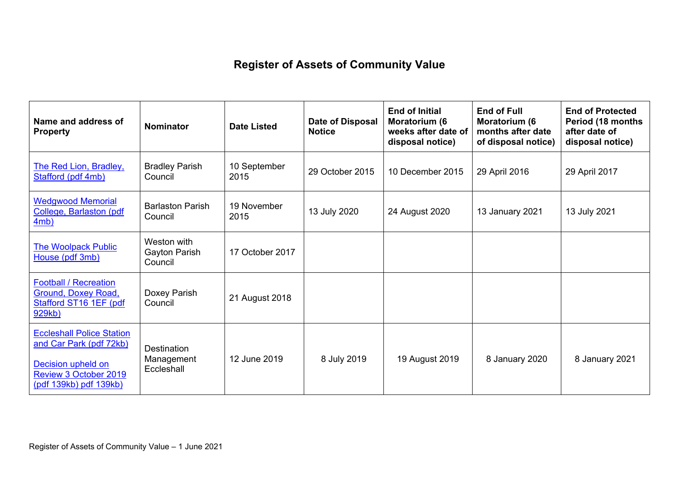## **Register of Assets of Community Value**

| Name and address of<br><b>Property</b>                                                                                                             | <b>Nominator</b>                               | <b>Date Listed</b>   | Date of Disposal<br><b>Notice</b> | <b>End of Initial</b><br>Moratorium (6<br>weeks after date of<br>disposal notice) | <b>End of Full</b><br>Moratorium (6<br>months after date<br>of disposal notice) | <b>End of Protected</b><br>Period (18 months<br>after date of<br>disposal notice) |
|----------------------------------------------------------------------------------------------------------------------------------------------------|------------------------------------------------|----------------------|-----------------------------------|-----------------------------------------------------------------------------------|---------------------------------------------------------------------------------|-----------------------------------------------------------------------------------|
| <b>The Red Lion, Bradley,</b><br>Stafford (pdf 4mb)                                                                                                | <b>Bradley Parish</b><br>Council               | 10 September<br>2015 | 29 October 2015                   | 10 December 2015                                                                  | 29 April 2016                                                                   | 29 April 2017                                                                     |
| <b>Wedgwood Memorial</b><br>College, Barlaston (pdf<br>4mb)                                                                                        | <b>Barlaston Parish</b><br>Council             | 19 November<br>2015  | 13 July 2020                      | 24 August 2020                                                                    | 13 January 2021                                                                 | 13 July 2021                                                                      |
| <b>The Woolpack Public</b><br>House (pdf 3mb)                                                                                                      | Weston with<br>Gayton Parish<br>Council        | 17 October 2017      |                                   |                                                                                   |                                                                                 |                                                                                   |
| <b>Football / Recreation</b><br>Ground, Doxey Road,<br>Stafford ST16 1EF (pdf<br>929kb)                                                            | Doxey Parish<br>Council                        | 21 August 2018       |                                   |                                                                                   |                                                                                 |                                                                                   |
| <b>Eccleshall Police Station</b><br>and Car Park (pdf 72kb)<br>Decision upheld on<br><b>Review 3 October 2019</b><br><u>(pdf 139kb) pdf 139kb)</u> | <b>Destination</b><br>Management<br>Eccleshall | 12 June 2019         | 8 July 2019                       | 19 August 2019                                                                    | 8 January 2020                                                                  | 8 January 2021                                                                    |